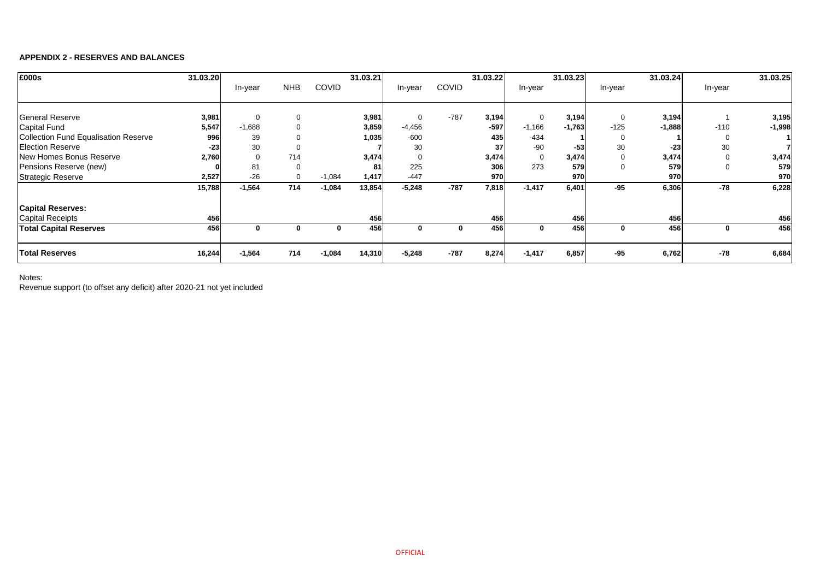## **APPENDIX 2 - RESERVES AND BALANCES**

| £000s                                       | 31.03.20 |          |            |              | 31.03.21 |                |              | 31.03.22 |             | 31.03.23 |         | 31.03.24 |          | 31.03.25 |
|---------------------------------------------|----------|----------|------------|--------------|----------|----------------|--------------|----------|-------------|----------|---------|----------|----------|----------|
|                                             |          | In-year  | <b>NHB</b> | <b>COVID</b> |          | In-year        | <b>COVID</b> |          | In-year     |          | In-year |          | In-year  |          |
|                                             |          |          |            |              |          |                |              |          |             |          |         |          |          |          |
| <b>General Reserve</b>                      | 3,981    | 0        |            |              | 3,981    | $\overline{0}$ | $-787$       | 3,194    | 0           | 3,194    | 0       | 3,194    |          | 3,195    |
| <b>Capital Fund</b>                         | 5,547    | $-1,688$ |            |              | 3,859    | $-4,456$       |              | $-597$   | $-1,166$    | $-1,763$ | $-125$  | $-1,888$ | $-110$   | $-1,998$ |
| <b>Collection Fund Equalisation Reserve</b> | 996      | 39       |            |              | 1,035    | $-600$         |              | 435      | $-434$      |          | 0       |          | 0        |          |
| <b>Election Reserve</b>                     | $-23$    | 30       |            |              |          | 30             |              | 37       | $-90$       | $-53$    | 30      | $-23$    | 30       |          |
| New Homes Bonus Reserve                     | 2,760    |          | 714        |              | 3,474    | $\Omega$       |              | 3,474    | $\mathbf 0$ | 3,474    | 0       | 3,474    | 0        | 3,474    |
| Pensions Reserve (new)                      |          | 81       |            |              | 81       | 225            |              | 306      | 273         | 579      | 0       | 579      | $\Omega$ | 579      |
| <b>Strategic Reserve</b>                    | 2,527    | $-26$    | $\Omega$   | $-1,084$     | 1,417    | $-447$         |              | 970      |             | 970      |         | 970      |          | 970      |
|                                             | 15,788   | $-1,564$ | 714        | $-1,084$     | 13,854   | $-5,248$       | $-787$       | 7,818    | $-1,417$    | 6,401    | $-95$   | 6,306    | $-78$    | 6,228    |
| <b>Capital Reserves:</b>                    |          |          |            |              |          |                |              |          |             |          |         |          |          |          |
| <b>Capital Receipts</b>                     | 456      |          |            |              | 456      |                |              | 456      |             | 456      |         | 456      |          | 456      |
| <b>Total Capital Reserves</b>               | 456      | $\bf{0}$ |            | 0            | 456      | $\mathbf 0$    | $\bf{0}$     | 456      | $\mathbf 0$ | 456      | 0       | 456      | 0        | 456      |
| <b>Total Reserves</b>                       | 16,244   | $-1,564$ | 714        | $-1,084$     | 14,310   | $-5,248$       | $-787$       | 8,274    | $-1,417$    | 6,857    | $-95$   | 6,762    | $-78$    | 6,684    |

Notes:

Revenue support (to offset any deficit) after 2020-21 not yet included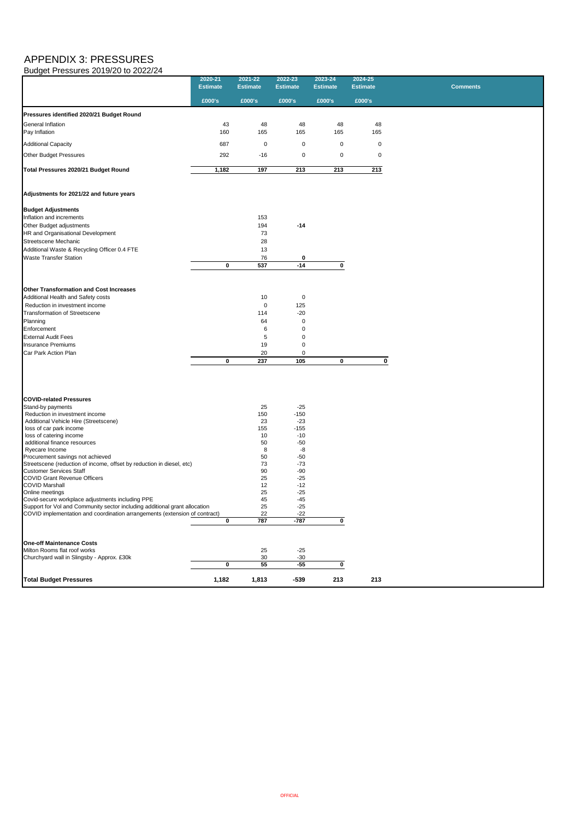# APPENDIX 3: PRESSURES Budget Pressures 2019/20 to 2022/24

|                                                | 2020-21<br><b>Estimate</b> | 2021-22<br><b>Estimate</b> | 2022-23<br><b>Estimate</b> | 2023-24<br><b>Estimate</b> | 2024-25<br><b>Estimate</b> | <b>Comments</b> |
|------------------------------------------------|----------------------------|----------------------------|----------------------------|----------------------------|----------------------------|-----------------|
|                                                | £000's                     | £000's                     | £000's                     | £000's                     | £000's                     |                 |
| Pressures identified 2020/21 Budget Round      |                            |                            |                            |                            |                            |                 |
| <b>General Inflation</b><br>Pay Inflation      | 43<br>160                  | 48<br>165                  | 48<br>165                  | 48<br>165                  | 48<br>165                  |                 |
| <b>Additional Capacity</b>                     | 687                        | $\overline{0}$             | $\mathbf 0$                | $\overline{0}$             | $\mathbf 0$                |                 |
| Other Budget Pressures                         | 292                        | $-16$                      | $\mathbf 0$                | $\pmb{0}$                  | $\boldsymbol{0}$           |                 |
| Total Pressures 2020/21 Budget Round           | 1,182                      | 197                        | 213                        | 213                        | 213                        |                 |
| Adjustments for 2021/22 and future years       |                            |                            |                            |                            |                            |                 |
| <b>Budget Adjustments</b>                      |                            |                            |                            |                            |                            |                 |
| Inflation and increments                       |                            | 153                        |                            |                            |                            |                 |
| Other Budget adjustments                       |                            | 194                        | $-14$                      |                            |                            |                 |
| HR and Organisational Development              |                            | 73                         |                            |                            |                            |                 |
| Streetscene Mechanic                           |                            | 28                         |                            |                            |                            |                 |
| Additional Waste & Recycling Officer 0.4 FTE   |                            | 13                         |                            |                            |                            |                 |
| <b>Waste Transfer Station</b>                  |                            | 76                         | 0                          |                            |                            |                 |
|                                                | $\mathbf 0$                | 537                        | $-14$                      | $\mathbf 0$                |                            |                 |
| <b>Other Transformation and Cost Increases</b> |                            |                            |                            |                            |                            |                 |
| Additional Health and Safety costs             |                            | 10                         | $\mathbf 0$                |                            |                            |                 |
| Reduction in investment income                 |                            | $\mathbf 0$                | 125                        |                            |                            |                 |
| <b>Transformation of Streetscene</b>           |                            | 114                        | $-20$                      |                            |                            |                 |
| Planning                                       |                            | 64                         | 0                          |                            |                            |                 |
| Enforcement                                    |                            | 6                          | 0                          |                            |                            |                 |
| <b>External Audit Fees</b>                     |                            |                            | 0                          |                            |                            |                 |
| <b>Insurance Premiums</b>                      |                            | 19                         | 0                          |                            |                            |                 |
| Car Park Action Plan                           |                            | 20                         | 0                          |                            |                            |                 |
|                                                | $\mathbf 0$                | 237                        | 105                        | $\mathbf 0$                | $\bf{0}$                   |                 |

| <b>COVID-related Pressures</b>                                             |             |       |        |     |     |  |
|----------------------------------------------------------------------------|-------------|-------|--------|-----|-----|--|
| Stand-by payments                                                          |             | 25    | $-25$  |     |     |  |
| Reduction in investment income                                             |             | 150   | $-150$ |     |     |  |
| Additional Vehicle Hire (Streetscene)                                      |             | 23    | $-23$  |     |     |  |
| loss of car park income                                                    |             | 155   | $-155$ |     |     |  |
| loss of catering income                                                    |             | 10    | $-10$  |     |     |  |
| additional finance resources                                               |             | 50    | $-50$  |     |     |  |
| Ryecare Income                                                             |             | 8     | -8     |     |     |  |
| Procurement savings not achieved                                           |             | 50    | $-50$  |     |     |  |
| Streetscene (reduction of income, offset by reduction in diesel, etc)      |             | 73    | $-73$  |     |     |  |
| <b>Customer Services Staff</b>                                             |             | 90    | $-90$  |     |     |  |
| <b>COVID Grant Revenue Officers</b>                                        |             | 25    | $-25$  |     |     |  |
| <b>COVID Marshall</b>                                                      |             | 12    | $-12$  |     |     |  |
| Online meetings                                                            |             | 25    | $-25$  |     |     |  |
| Covid-secure workplace adjustments including PPE                           |             | 45    | $-45$  |     |     |  |
| Support for Vol and Community sector including additional grant allocation |             | 25    | $-25$  |     |     |  |
| COVID implementation and coordination arrangements (extension of contract) |             | 22    | $-22$  |     |     |  |
|                                                                            | $\mathbf 0$ | 787   | $-787$ |     |     |  |
|                                                                            |             |       |        |     |     |  |
| <b>One-off Maintenance Costs</b>                                           |             |       |        |     |     |  |
| Milton Rooms flat roof works                                               |             | 25    | $-25$  |     |     |  |
| Churchyard wall in Slingsby - Approx. £30k                                 |             | 30    | $-30$  |     |     |  |
|                                                                            | 0           | 55    | $-55$  |     |     |  |
| <b>Total Budget Pressures</b>                                              | 1,182       | 1,813 | $-539$ | 213 | 213 |  |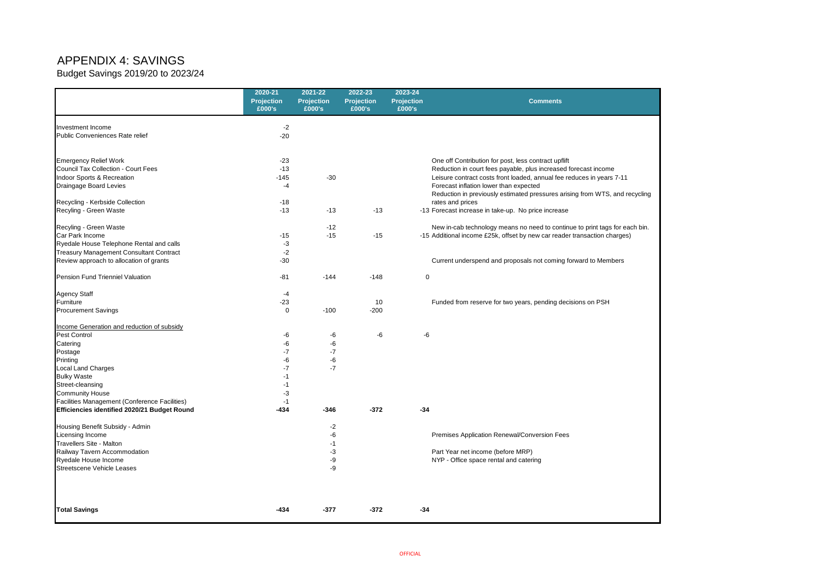# APPENDIX 4: SAVINGS

Budget Savings 2019/20 to 2023/24

|                                                     | 2020-21<br><b>Projection</b><br>£000's | 2021-22<br><b>Projection</b><br>£000's | 2022-23<br><b>Projection</b><br>£000's | 2023-24<br><b>Projection</b><br>£000's | <b>Comments</b>                                                      |
|-----------------------------------------------------|----------------------------------------|----------------------------------------|----------------------------------------|----------------------------------------|----------------------------------------------------------------------|
| Investment Income                                   | $-2$                                   |                                        |                                        |                                        |                                                                      |
| Public Conveniences Rate relief                     | $-20$                                  |                                        |                                        |                                        |                                                                      |
| <b>Emergency Relief Work</b>                        | $-23$                                  |                                        |                                        |                                        | One off Contribution for post, less contract upflift                 |
| <b>Council Tax Collection - Court Fees</b>          | $-13$                                  |                                        |                                        |                                        | Reduction in court fees payable, plus increased                      |
| Indoor Sports & Recreation                          | $-145$                                 | $-30$                                  |                                        |                                        | Leisure contract costs front loaded, annual fee re                   |
| Draingage Board Levies                              | $-4$                                   |                                        |                                        |                                        | Forecast inflation lower than expected                               |
| Recycling - Kerbside Collection                     | $-18$                                  |                                        |                                        |                                        | Reduction in previously estimated pressures aris<br>rates and prices |
| Recyling - Green Waste                              | $-13$                                  | $-13$                                  | $-13$                                  |                                        | -13 Forecast increase in take-up. No price increase                  |
| Recyling - Green Waste                              |                                        | $-12$                                  |                                        |                                        | New in-cab technology means no need to contin                        |
| Car Park Income                                     | $-15$                                  | $-15$                                  | $-15$                                  |                                        | -15 Additional income £25k, offset by new car reade                  |
| Ryedale House Telephone Rental and calls            | $-3$                                   |                                        |                                        |                                        |                                                                      |
| <b>Treasury Management Consultant Contract</b>      | $-2$                                   |                                        |                                        |                                        |                                                                      |
| Review approach to allocation of grants             | $-30$                                  |                                        |                                        |                                        | Current underspend and proposals not coming f                        |
| <b>Pension Fund Trienniel Valuation</b>             | $-81$                                  | $-144$                                 | $-148$                                 | $\mathbf 0$                            |                                                                      |
| <b>Agency Staff</b>                                 | $-4$                                   |                                        |                                        |                                        |                                                                      |
| Furniture                                           | $-23$                                  |                                        | 10                                     |                                        | Funded from reserve for two years, pending dec                       |
| <b>Procurement Savings</b>                          | $\mathbf 0$                            | $-100$                                 | $-200$                                 |                                        |                                                                      |
| <b>Income Generation and reduction of subsidy</b>   |                                        |                                        |                                        |                                        |                                                                      |
| <b>Pest Control</b>                                 | -6                                     | -6                                     | -6                                     | -6                                     |                                                                      |
| Catering                                            | -6                                     | -6                                     |                                        |                                        |                                                                      |
| Postage                                             | -7                                     | -7                                     |                                        |                                        |                                                                      |
| Printing                                            | -6                                     | -6                                     |                                        |                                        |                                                                      |
| <b>Local Land Charges</b>                           | -7                                     | $-7$                                   |                                        |                                        |                                                                      |
| <b>Bulky Waste</b>                                  | -1                                     |                                        |                                        |                                        |                                                                      |
| Street-cleansing                                    |                                        |                                        |                                        |                                        |                                                                      |
| <b>Community House</b>                              | -3                                     |                                        |                                        |                                        |                                                                      |
| Facilities Management (Conference Facilities)       |                                        |                                        |                                        |                                        |                                                                      |
| <b>Efficiencies identified 2020/21 Budget Round</b> | $-434$                                 | $-346$                                 | $-372$                                 | $-34$                                  |                                                                      |
| Housing Benefit Subsidy - Admin                     |                                        | $-2$                                   |                                        |                                        |                                                                      |
| Licensing Income                                    |                                        | -6                                     |                                        |                                        | Premises Application Renewal/Conversion Fees                         |
| <b>Travellers Site - Malton</b>                     |                                        | -1                                     |                                        |                                        |                                                                      |
| Railway Tavern Accommodation                        |                                        | -3                                     |                                        |                                        | Part Year net income (before MRP)                                    |
| <b>Ryedale House Income</b>                         |                                        | -9                                     |                                        |                                        | NYP - Office space rental and catering                               |
| Streetscene Vehicle Leases                          |                                        | -9                                     |                                        |                                        |                                                                      |
| <b>Total Savings</b>                                | $-434$                                 | $-377$                                 | $-372$                                 | $-34$                                  |                                                                      |

## **Comments**

- , plus increased forecast income
- ded, annual fee reduces in years 7-11
- 
- .<br>ted pressures arising from WTS, and recycling

no need to continue to print tags for each bin. by new car reader transaction charges)

sals not coming forward to Members

ars, pending decisions on PSH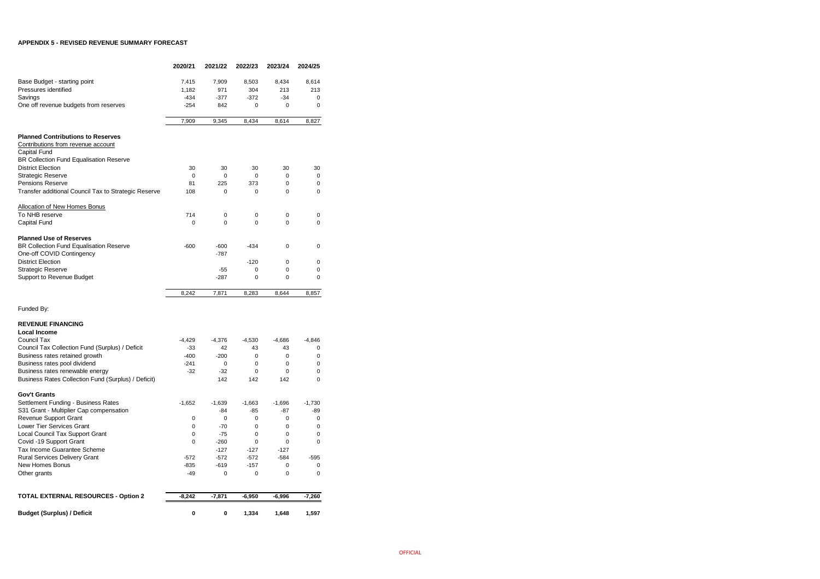### **APPENDIX 5 - REVISED REVENUE SUMMARY FORECAST**

|                                                      | 2020/21   | 2021/22   | 2022/23  | 2023/24     | 2024/25  |
|------------------------------------------------------|-----------|-----------|----------|-------------|----------|
| Base Budget - starting point                         | 7,415     | 7,909     | 8,503    | 8,434       | 8,614    |
| Pressures identified                                 | 1,182     | 971       | 304      | 213         | 213      |
| Savings                                              | $-434$    | $-377$    | $-372$   | $-34$       | 0        |
| One off revenue budgets from reserves                | $-254$    | 842       | 0        | 0           | 0        |
|                                                      |           |           |          |             |          |
|                                                      | 7,909     | 9,345     | 8,434    | 8,614       | 8,827    |
| <b>Planned Contributions to Reserves</b>             |           |           |          |             |          |
| Contributions from revenue account                   |           |           |          |             |          |
| Capital Fund                                         |           |           |          |             |          |
| BR Collection Fund Equalisation Reserve              |           |           |          |             |          |
| <b>District Election</b>                             | 30        | 30        | 30       | 30          | 30       |
| <b>Strategic Reserve</b>                             | 0         | 0         | 0        | 0           | 0        |
| Pensions Reserve                                     | 81        | 225       | 373      | 0           | 0        |
| Transfer additional Council Tax to Strategic Reserve | 108       | 0         | 0        | 0           | 0        |
| <b>Allocation of New Homes Bonus</b>                 |           |           |          |             |          |
| To NHB reserve                                       | 714       | 0         | 0        | 0           | 0        |
| Capital Fund                                         | 0         | 0         | $\Omega$ | 0           | 0        |
| <b>Planned Use of Reserves</b>                       |           |           |          |             |          |
| BR Collection Fund Equalisation Reserve              | $-600$    | $-600$    | -434     | 0           | 0        |
| One-off COVID Contingency                            |           | $-787$    |          |             |          |
| <b>District Election</b>                             |           |           | $-120$   | 0           | 0        |
| <b>Strategic Reserve</b>                             |           | $-55$     | 0        | 0           | 0        |
| Support to Revenue Budget                            |           | $-287$    | 0        | 0           | 0        |
|                                                      | 8,242     | 7,871     | 8,283    | 8,644       | 8,857    |
|                                                      |           |           |          |             |          |
| Funded By:                                           |           |           |          |             |          |
| <b>REVENUE FINANCING</b>                             |           |           |          |             |          |
| <b>Local Income</b>                                  |           |           |          |             |          |
| Council Tax                                          | $-4,429$  | $-4,376$  | $-4,530$ | $-4,686$    | $-4,846$ |
| Council Tax Collection Fund (Surplus) / Deficit      | $-33$     | 42        | 43       | 43          | 0        |
| Business rates retained growth                       | $-400$    | $-200$    | 0        | 0           | 0        |
| Business rates pool dividend                         | $-241$    | 0         | 0        | 0           | 0        |
| Business rates renewable energy                      | $-32$     | $-32$     | 0        | 0           | 0        |
| Business Rates Collection Fund (Surplus) / Deficit)  |           | 142       | 142      | 142         | 0        |
| <b>Gov't Grants</b>                                  |           |           |          |             |          |
| Settlement Funding - Business Rates                  | $-1,652$  | $-1,639$  | $-1,663$ | $-1,696$    | $-1,730$ |
| S31 Grant - Multiplier Cap compensation              |           | -84       | -85      | -87         | -89      |
| <b>Revenue Support Grant</b>                         | 0         | 0         | 0        | 0           | 0        |
| Lower Tier Services Grant                            | 0         | $-70$     | 0        | 0           | 0        |
| Local Council Tax Support Grant                      | 0         | $-75$     | 0        | 0           | 0        |
| Covid -19 Support Grant                              | 0         | $-260$    | 0        | $\mathbf 0$ | 0        |
| Tax Income Guarantee Scheme                          |           | $-127$    | $-127$   | $-127$      |          |
| <b>Rural Services Delivery Grant</b>                 | $-572$    | $-572$    | $-572$   | $-584$      | $-595$   |
| New Homes Bonus                                      | $-835$    | $-619$    | $-157$   | 0           | 0        |
| Other grants                                         | $-49$     | 0         | 0        | 0           | 0        |
|                                                      |           |           |          |             |          |
| <b>TOTAL EXTERNAL RESOURCES - Option 2</b>           | $-8,242$  | $-7,871$  | $-6,950$ | $-6,996$    | $-7,260$ |
|                                                      |           |           |          |             |          |
| <b>Budget (Surplus) / Deficit</b>                    | $\pmb{0}$ | $\pmb{0}$ | 1,334    | 1,648       | 1,597    |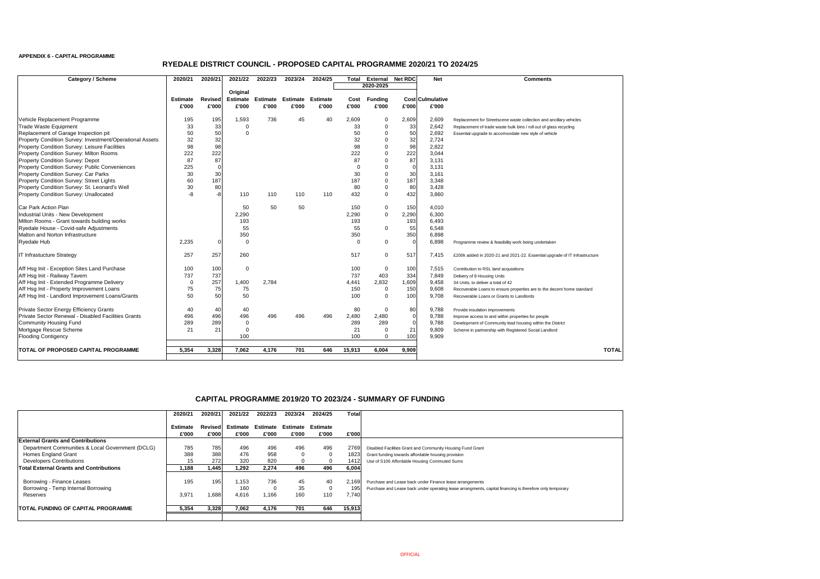#### **APPENDIX 6 - CAPITAL PROGRAMME**

| <b>Category / Scheme</b>                                 | 2020/21         | 2020/21        | 2021/22         | 2022/23         | 2023/24  | 2024/25         | <b>Total</b> | <b>External</b> | <b>Net RDC</b> | <b>Net</b>              | <b>Comments</b>                                                            |
|----------------------------------------------------------|-----------------|----------------|-----------------|-----------------|----------|-----------------|--------------|-----------------|----------------|-------------------------|----------------------------------------------------------------------------|
|                                                          |                 |                |                 |                 |          |                 |              | 2020-2025       |                |                         |                                                                            |
|                                                          |                 |                | Original        |                 |          |                 |              |                 |                |                         |                                                                            |
|                                                          | <b>Estimate</b> | <b>Revised</b> | <b>Estimate</b> | <b>Estimate</b> | Estimate | <b>Estimate</b> | Cost         | <b>Funding</b>  |                | <b>Cost Culmulative</b> |                                                                            |
|                                                          | £'000           | £'000          | £'000           | £'000           | £'000    | £'000           | £'000        | £'000           | £'000          | £'000                   |                                                                            |
| Vehicle Replacement Programme                            | 195             | 195            | 1,593           | 736             | 45       | 40              | 2,609        | $\overline{0}$  | 2,609          | 2,609                   | Replacement for Streetscene waste collection and ancillary vehicles        |
| Trade Waste Equipment                                    | 33              | 33             | 0               |                 |          |                 | 33           | 0               | 33             | 2,642                   | Replacement of trade waste bulk bins / roll out of glass recycling         |
| Replacement of Garage Inspection pit                     | 50              | 50             | $\mathbf 0$     |                 |          |                 | 50           |                 | 50             | 2,692                   | Essential upgrade to accomoodate new style of vehicle                      |
| Property Condition Survey: Investment/Operational Assets | 32              | 32             |                 |                 |          |                 | 32           |                 | 32             | 2,724                   |                                                                            |
| Property Condition Survey: Leisure Facilities            | 98              | 98             |                 |                 |          |                 | 98           |                 | 98             | 2,822                   |                                                                            |
| <b>Property Condition Survey: Milton Rooms</b>           | 222             | 222            |                 |                 |          |                 | 222          |                 | 222            | 3,044                   |                                                                            |
| <b>Property Condition Survey: Depot</b>                  | 87              | 87             |                 |                 |          |                 | 87           | 0               | 87             | 3,131                   |                                                                            |
| Property Condition Survey: Public Conveniences           | 225             | 0              |                 |                 |          |                 | $\Omega$     |                 | $\Omega$       | 3,131                   |                                                                            |
| Property Condition Survey: Car Parks                     | 30              | 30             |                 |                 |          |                 | 30           |                 | 30             | 3,161                   |                                                                            |
| <b>Property Condition Survey: Street Lights</b>          | 60              | 187            |                 |                 |          |                 | 187          |                 | 187            | 3,348                   |                                                                            |
| Property Condition Survey: St. Leonard's Well            | 30              | 80             |                 |                 |          |                 | 80           |                 | 80             | 3,428                   |                                                                            |
| Property Condition Survey: Unallocated                   | -8              | $-8$           | 110             | 110             | 110      | 110             | 432          | $\Omega$        | 432            | 3,860                   |                                                                            |
| Car Park Action Plan                                     |                 |                | 50              | 50              | 50       |                 | 150          | 0               | 150            | 4,010                   |                                                                            |
| Industrial Units - New Development                       |                 |                | 2,290           |                 |          |                 | 2,290        | $\mathbf 0$     | 2,290          | 6,300                   |                                                                            |
| Milton Rooms - Grant towards building works              |                 |                | 193             |                 |          |                 | 193          |                 | 193            | 6,493                   |                                                                            |
| Ryedale House - Covid-safe Adjustments                   |                 |                | 55              |                 |          |                 | 55           | $\Omega$        | 55             | 6,548                   |                                                                            |
| Malton and Norton Infrastructure                         |                 |                | 350             |                 |          |                 | 350          |                 | 350            | 6,898                   |                                                                            |
| Ryedale Hub                                              | 2,235           | 0              | 0               |                 |          |                 | $\Omega$     | $\Omega$        |                | 6,898                   | Programme review & feasibility work being undertaken                       |
| <b>IT Infrastucture Strategy</b>                         | 257             | 257            | 260             |                 |          |                 | 517          | 0               | 517            | 7,415                   | £200k added in 2020-21 and 2021-22. Essential upgrade of IT Infrastructure |
| Aff Hsg Init - Exception Sites Land Purchase             | 100             | 100            | $\mathbf 0$     |                 |          |                 | 100          | $\overline{0}$  | 100            | 7,515                   | Contribution to RSL land acquisitions                                      |
| Aff Hsg Init - Railway Tavern                            | 737             | 737            |                 |                 |          |                 | 737          | 403             | 334            | 7,849                   | Delivery of 8 Housing Units                                                |
| Aff Hsg Init - Extended Programme Delivery               | -0              | 257            | 1,400           | 2,784           |          |                 | 4,441        | 2,832           | 1,609          | 9,458                   | 34 Units, to deliver a total of 42                                         |
| Aff Hsg Init - Property Improvement Loans                | 75              | 75             | 75              |                 |          |                 | 150          | 0               | 150            | 9,608                   | Recoverable Loans to ensure properties are to the decent home standard     |
| Aff Hsg Init - Landlord Improvement Loans/Grants         | 50              | 50             | 50              |                 |          |                 | 100          | $\Omega$        | 100            | 9,708                   | Recoverable Loans or Grants to Landlords                                   |
| <b>Private Sector Energy Efficiency Grants</b>           | 40              | 40             | 40              |                 |          |                 | 80           | 0               | 80             | 9,788                   | Provide insulation improvements                                            |
| Private Sector Renewal - Disabled Facilities Grants      | 496             | 496            | 496             | 496             | 496      | 496             | 2,480        | 2,480           | 0              | 9,788                   | Improve access to and within properties for people                         |
| Community Housing Fund                                   | 289             | 289            | 0               |                 |          |                 | 289          | 289             | $\Omega$       | 9,788                   | Development of Community lead housing within the District                  |
| Mortgage Rescue Scheme                                   | 21              | 21             | 0               |                 |          |                 | 21           |                 | 21             | 9,809                   | Scheme in partnership with Registered Social Landlord                      |
| <b>Flooding Contigency</b>                               |                 |                | 100             |                 |          |                 | 100          |                 | 100            | 9,909                   |                                                                            |
| <b>TOTAL OF PROPOSED CAPITAL PROGRAMME</b>               | 5,354           | 3,328          | 7,062           | 4,176           | 701      | 646             | 15,913       | 6,004           | 9,909          |                         | <b>TOTAL</b>                                                               |

|                                                  | 2020/21         | 2020/21  | 2021/22  | 2022/23  | 2023/24  | 2024/25         | <b>Total</b> |                                                            |
|--------------------------------------------------|-----------------|----------|----------|----------|----------|-----------------|--------------|------------------------------------------------------------|
|                                                  | <b>Estimate</b> | RevisedI | Estimate | Estimate | Estimate | <b>Estimate</b> |              |                                                            |
|                                                  | £'000           | £'000    | £'000    | £'000    | £'000    | £'000           | £'000        |                                                            |
| <b>External Grants and Contributions</b>         |                 |          |          |          |          |                 |              |                                                            |
| Department Communities & Local Government (DCLG) | 785             | 785      | 496      | 496      | 496      | 496             | 2769         | Disabled Facilities Grant and Community Housing Fund Grant |
| Homes England Grant                              | 388             | 388      | 476      | 958      |          | 0               | 1823         | Grant funding towards affordable housing provision         |
| <b>Developers Contributions</b>                  | 15              | 272      | 320      | 820      |          | 0               | 1412         | Use of S106 Affordable Housing Commuted Sums               |
| Total External Grants and Contributions          | 1,188           | 1,445    | 1,292    | 2,274    | 496      | 496             | 6,004        |                                                            |
| Borrowing - Finance Leases                       | 195             | 195      | 1,153    | 736      | 45       | 40              | 2,169        | Purchase and Lease back under Finance lease arrangements   |
| Borrowing - Temp Internal Borrowing              |                 |          | 160      |          | 35       | 0               | 195          | Purchase and Lease back under operating lease arrangments  |
| Reserves                                         | 3,971           | 1,688    | 4,616    | 1,166    | 160      | 110             | 7,740        |                                                            |
| <b>TOTAL FUNDING OF CAPITAL PROGRAMME</b>        | 5,354           | 3,328    | 7,062    | 4,176    | 701      | 646             | 15,913       |                                                            |
|                                                  |                 |          |          |          |          |                 |              |                                                            |

| <b>Comments</b> |
|-----------------|
|-----------------|

nts, capital financing is therefore only temporary

## **RYEDALE DISTRICT COUNCIL - PROPOSED CAPITAL PROGRAMME 2020/21 TO 2024/25**

## **CAPITAL PROGRAMME 2019/20 TO 2023/24 - SUMMARY OF FUNDING**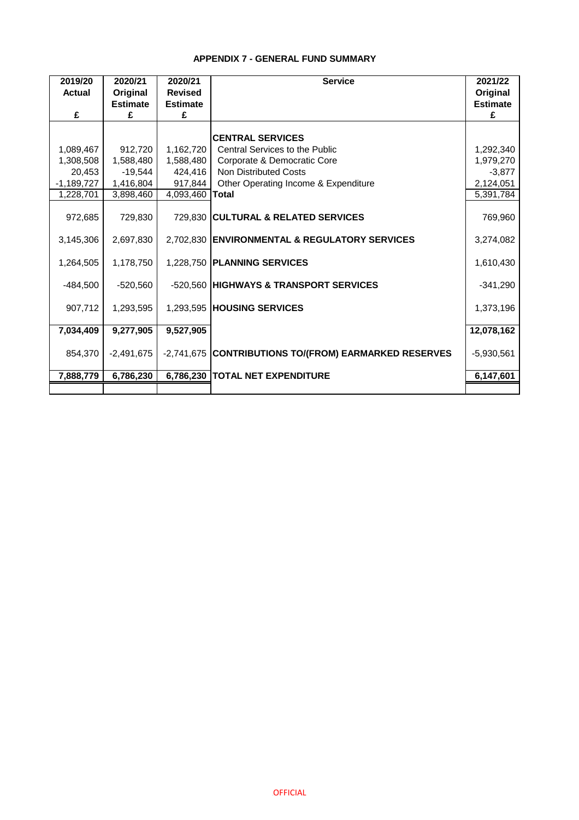## **APPENDIX 7 - GENERAL FUND SUMMARY**

| 2019/20<br><b>Actual</b> | 2020/21<br>Original | 2020/21<br><b>Revised</b> | <b>Service</b>                                        | 2021/22<br>Original |
|--------------------------|---------------------|---------------------------|-------------------------------------------------------|---------------------|
|                          | <b>Estimate</b>     | <b>Estimate</b>           |                                                       | <b>Estimate</b>     |
| £                        | £                   | £                         |                                                       | £                   |
|                          |                     |                           | <b>CENTRAL SERVICES</b>                               |                     |
| 1,089,467                | 912,720             | 1,162,720                 | Central Services to the Public                        | 1,292,340           |
| 1,308,508                | 1,588,480           | 1,588,480                 | Corporate & Democratic Core                           | 1,979,270           |
| 20,453                   | $-19,544$           | 424,416                   | <b>Non Distributed Costs</b>                          | $-3,877$            |
| $-1,189,727$             | 1,416,804           | 917,844                   | Other Operating Income & Expenditure                  | 2,124,051           |
| 1,228,701                | 3,898,460           | 4,093,460                 | <b>Total</b>                                          | 5,391,784           |
|                          |                     |                           |                                                       |                     |
| 972,685                  | 729,830             |                           | 729,830 CULTURAL & RELATED SERVICES                   | 769,960             |
|                          |                     |                           |                                                       |                     |
| 3,145,306                | 2,697,830           |                           | 2,702,830 ENVIRONMENTAL & REGULATORY SERVICES         | 3,274,082           |
|                          |                     |                           |                                                       |                     |
| 1,264,505                | 1,178,750           |                           | 1,228,750 PLANNING SERVICES                           | 1,610,430           |
|                          |                     |                           |                                                       |                     |
| $-484,500$               | $-520,560$          |                           | -520,560 HIGHWAYS & TRANSPORT SERVICES                | $-341,290$          |
|                          |                     |                           |                                                       |                     |
| 907,712                  | 1,293,595           |                           | 1,293,595 HOUSING SERVICES                            | 1,373,196           |
|                          |                     |                           |                                                       |                     |
| 7,034,409                | 9,277,905           | 9,527,905                 |                                                       | 12,078,162          |
|                          |                     |                           |                                                       |                     |
| 854,370                  | $-2,491,675$        |                           | -2,741,675 CONTRIBUTIONS TO/(FROM) EARMARKED RESERVES | $-5,930,561$        |
| 7,888,779                | 6,786,230           |                           | 6,786,230   TOTAL NET EXPENDITURE                     | 6,147,601           |
|                          |                     |                           |                                                       |                     |
|                          |                     |                           |                                                       |                     |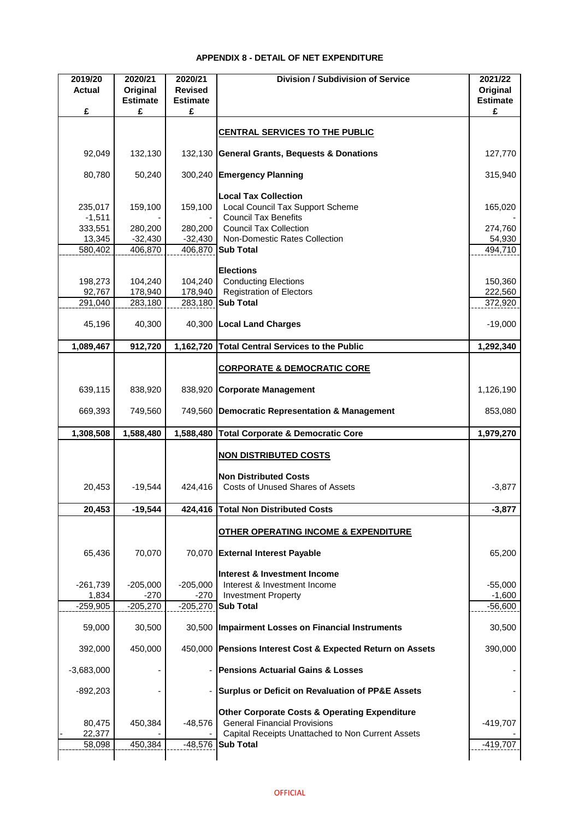## **APPENDIX 8 - DETAIL OF NET EXPENDITURE**

| 2019/20<br><b>Actual</b> | 2020/21<br>Original  | 2020/21<br><b>Revised</b> | <b>Division / Subdivision of Service</b>                                                        | 2021/22<br>Original  |
|--------------------------|----------------------|---------------------------|-------------------------------------------------------------------------------------------------|----------------------|
| £                        | <b>Estimate</b><br>£ | <b>Estimate</b><br>£      |                                                                                                 | <b>Estimate</b><br>£ |
|                          |                      |                           |                                                                                                 |                      |
|                          |                      |                           | <b>CENTRAL SERVICES TO THE PUBLIC</b>                                                           |                      |
| 92,049                   | 132,130              |                           | 132,130 General Grants, Bequests & Donations                                                    | 127,770              |
| 80,780                   | 50,240               |                           | 300,240 Emergency Planning                                                                      | 315,940              |
|                          |                      |                           | <b>Local Tax Collection</b>                                                                     |                      |
| 235,017<br>$-1,511$      | 159,100              | 159,100                   | Local Council Tax Support Scheme<br><b>Council Tax Benefits</b>                                 | 165,020              |
| 333,551                  | 280,200              | 280,200                   | <b>Council Tax Collection</b>                                                                   | 274,760              |
| 13,345                   | $-32,430$            | $-32,430$                 | Non-Domestic Rates Collection                                                                   | 54,930               |
| 580,402                  | 406,870              |                           | 406,870 Sub Total                                                                               | 494,710              |
|                          |                      |                           |                                                                                                 |                      |
|                          |                      |                           | <b>Elections</b>                                                                                |                      |
| 198,273<br>92,767        | 104,240<br>178,940   | 104,240<br>178,940        | <b>Conducting Elections</b><br><b>Registration of Electors</b>                                  | 150,360<br>222,560   |
| 291,040                  | 283,180              |                           | 283,180 Sub Total                                                                               | 372,920              |
|                          |                      |                           |                                                                                                 |                      |
| 45,196                   | 40,300               |                           | 40,300 Local Land Charges                                                                       | $-19,000$            |
| 1,089,467                | 912,720              | 1,162,720                 | <b>Total Central Services to the Public</b>                                                     | 1,292,340            |
|                          |                      |                           | <b>CORPORATE &amp; DEMOCRATIC CORE</b>                                                          |                      |
|                          |                      |                           |                                                                                                 |                      |
| 639,115                  | 838,920              | 838,920                   | <b>Corporate Management</b>                                                                     | 1,126,190            |
| 669,393                  | 749,560              | 749,560                   | Democratic Representation & Management                                                          | 853,080              |
| 1,308,508                | 1,588,480            | 1,588,480                 | <b>Total Corporate &amp; Democratic Core</b>                                                    | 1,979,270            |
|                          |                      |                           | <b>NON DISTRIBUTED COSTS</b>                                                                    |                      |
|                          |                      |                           |                                                                                                 |                      |
|                          |                      |                           | <b>Non Distributed Costs</b>                                                                    |                      |
| 20,453                   | $-19,544$            | 424,416                   | <b>Costs of Unused Shares of Assets</b>                                                         | $-3,877$             |
| 20,453                   | $-19,544$            |                           | 424,416 Total Non Distributed Costs                                                             | $-3,877$             |
|                          |                      |                           | OTHER OPERATING INCOME & EXPENDITURE                                                            |                      |
| 65,436                   | 70,070               |                           | 70,070 External Interest Payable                                                                | 65,200               |
|                          |                      |                           | <b>Interest &amp; Investment Income</b>                                                         |                      |
| $-261,739$               | $-205,000$           | $-205,000$                | Interest & Investment Income                                                                    | $-55,000$            |
| 1,834                    | $-270$               | $-270$                    | <b>Investment Property</b>                                                                      | $-1,600$             |
| $-259,905$               | $-205,270$           |                           | -205,270 Sub Total                                                                              | $-56,600$            |
| 59,000                   | 30,500               |                           | 30,500   Impairment Losses on Financial Instruments                                             | 30,500               |
| 392,000                  | 450,000              |                           | 450,000 Pensions Interest Cost & Expected Return on Assets                                      | 390,000              |
| $-3,683,000$             |                      |                           | <b>Pensions Actuarial Gains &amp; Losses</b>                                                    |                      |
| $-892,203$               |                      |                           | Surplus or Deficit on Revaluation of PP&E Assets                                                |                      |
|                          |                      |                           |                                                                                                 |                      |
| 80,475                   | 450,384              | $-48,576$                 | <b>Other Corporate Costs &amp; Operating Expenditure</b><br><b>General Financial Provisions</b> | $-419,707$           |
| 22,377                   |                      |                           | Capital Receipts Unattached to Non Current Assets                                               |                      |
| 58,098                   | 450,384              |                           | -48,576 Sub Total                                                                               | $-419,707$           |
|                          |                      |                           |                                                                                                 |                      |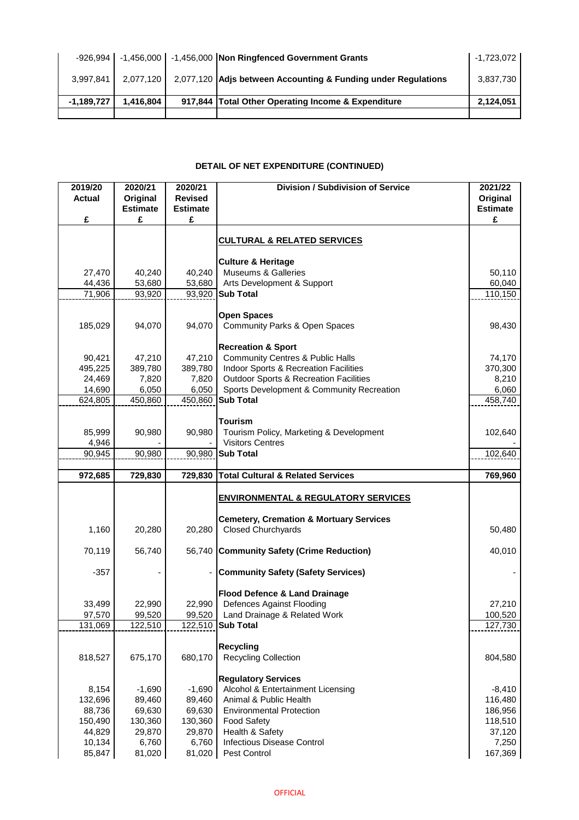| $-926.994$   |           | -1,456,000   -1,456,000   Non Ringfenced Government Grants              | $-1,723,072$ |
|--------------|-----------|-------------------------------------------------------------------------|--------------|
| 3,997,841    |           | 2,077,120 2,077,120 Adjs between Accounting & Funding under Regulations | 3,837,730    |
| $-1,189,727$ | 1,416,804 | 917,844 Total Other Operating Income & Expenditure                      | 2,124,051    |
|              |           |                                                                         |              |

### **DETAIL OF NET EXPENDITURE (CONTINUED)**

| 2019/20           | 2020/21           | 2020/21           | <b>Division / Subdivision of Service</b>                           | 2021/22            |
|-------------------|-------------------|-------------------|--------------------------------------------------------------------|--------------------|
| <b>Actual</b>     | Original          | <b>Revised</b>    |                                                                    | Original           |
|                   | <b>Estimate</b>   | <b>Estimate</b>   |                                                                    | <b>Estimate</b>    |
| £                 | £                 | £                 |                                                                    | £                  |
|                   |                   |                   | <b>CULTURAL &amp; RELATED SERVICES</b>                             |                    |
|                   |                   |                   |                                                                    |                    |
|                   |                   |                   | <b>Culture &amp; Heritage</b>                                      |                    |
| 27,470            | 40,240            | 40,240            | <b>Museums &amp; Galleries</b>                                     | 50,110             |
| 44,436            | 53,680            | 53,680            | Arts Development & Support                                         | 60,040             |
| 71,906            | 93,920            | 93,920            | <b>Sub Total</b>                                                   | 110,150            |
|                   |                   |                   |                                                                    |                    |
|                   |                   | 94,070            | <b>Open Spaces</b>                                                 |                    |
| 185,029           | 94,070            |                   | <b>Community Parks &amp; Open Spaces</b>                           | 98,430             |
|                   |                   |                   | <b>Recreation &amp; Sport</b>                                      |                    |
| 90,421            | 47,210            | 47,210            | <b>Community Centres &amp; Public Halls</b>                        | 74,170             |
| 495,225           | 389,780           | 389,780           | Indoor Sports & Recreation Facilities                              | 370,300            |
| 24,469            | 7,820             | 7,820             | <b>Outdoor Sports &amp; Recreation Facilities</b>                  | 8,210              |
| 14,690            | 6,050             | 6,050             | Sports Development & Community Recreation                          | 6,060              |
| 624,805           | 450,860           | 450,860           | <b>Sub Total</b>                                                   | 458,740            |
|                   |                   |                   |                                                                    |                    |
|                   |                   |                   | <b>Tourism</b>                                                     |                    |
| 85,999<br>4,946   | 90,980            | 90,980            | Tourism Policy, Marketing & Development<br><b>Visitors Centres</b> | 102,640            |
| 90,945            | 90,980            | 90,980            | <b>Sub Total</b>                                                   | 102,640            |
|                   |                   |                   |                                                                    |                    |
|                   |                   |                   |                                                                    |                    |
| 972,685           | 729,830           | 729,830           | <b>Total Cultural &amp; Related Services</b>                       | 769,960            |
|                   |                   |                   |                                                                    |                    |
|                   |                   |                   | <b>ENVIRONMENTAL &amp; REGULATORY SERVICES</b>                     |                    |
|                   |                   |                   |                                                                    |                    |
|                   |                   |                   | <b>Cemetery, Cremation &amp; Mortuary Services</b>                 |                    |
| 1,160             | 20,280            | 20,280            | <b>Closed Churchyards</b>                                          | 50,480             |
| 70,119            | 56,740            | 56,740            | <b>Community Safety (Crime Reduction)</b>                          | 40,010             |
|                   |                   |                   |                                                                    |                    |
| $-357$            |                   |                   | <b>Community Safety (Safety Services)</b>                          |                    |
|                   |                   |                   |                                                                    |                    |
|                   |                   |                   | <b>Flood Defence &amp; Land Drainage</b>                           |                    |
| 33,499            | 22,990            | 22,990            | Defences Against Flooding                                          | 27,210             |
| 97,570<br>131,069 | 99,520<br>122,510 | 99,520<br>122,510 | Land Drainage & Related Work<br><b>Sub Total</b>                   | 100,520<br>127,730 |
|                   |                   |                   |                                                                    |                    |
|                   |                   |                   | <b>Recycling</b>                                                   |                    |
| 818,527           | 675,170           | 680,170           | <b>Recycling Collection</b>                                        | 804,580            |
|                   |                   |                   |                                                                    |                    |
|                   |                   |                   | <b>Regulatory Services</b>                                         |                    |
| 8,154             | $-1,690$          | $-1,690$          | Alcohol & Entertainment Licensing                                  | $-8,410$           |
| 132,696<br>88,736 | 89,460<br>69,630  | 89,460<br>69,630  | Animal & Public Health<br><b>Environmental Protection</b>          | 116,480<br>186,956 |
| 150,490           | 130,360           | 130,360           | <b>Food Safety</b>                                                 | 118,510            |
| 44,829            | 29,870            | 29,870            | Health & Safety                                                    | 37,120             |
| 10,134<br>85,847  | 6,760<br>81,020   | 6,760<br>81,020   | <b>Infectious Disease Control</b><br>Pest Control                  | 7,250<br>167,369   |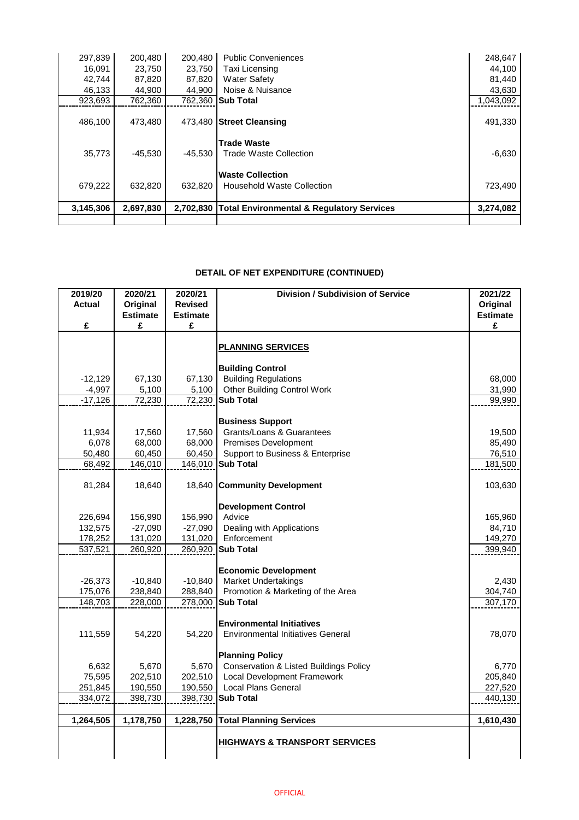| 3,145,306        | 2,697,830        | 2,702,830        | <b>Total Environmental &amp; Regulatory Services</b> | 3,274,082        |
|------------------|------------------|------------------|------------------------------------------------------|------------------|
| 679,222          | 632,820          | 632,820          | <b>Household Waste Collection</b>                    | 723,490          |
|                  |                  |                  | <b>Waste Collection</b>                              |                  |
| 35,773           | $-45,530$        | -45.530          | <b>Trade Waste</b><br>Trade Waste Collection         | $-6,630$         |
| 486,100          | 473,480          |                  | 473,480 Street Cleansing                             | 491,330          |
|                  |                  |                  |                                                      |                  |
| 923,693          | 762,360          |                  | 762,360 Sub Total                                    | 1,043,092        |
| 42,744<br>46,133 | 87,820<br>44,900 | 87,820<br>44,900 | <b>Water Safety</b><br>Noise & Nuisance              | 81,440<br>43,630 |
| 16,091           | 23,750           | 23,750           | Taxi Licensing                                       | 44,100           |
| 297,839          | 200,480          | 200,480          | <b>Public Conveniences</b>                           | 248,647          |

## **DETAIL OF NET EXPENDITURE (CONTINUED)**

| 2019/20<br><b>Actual</b> | 2020/21<br>Original | 2020/21<br><b>Revised</b> | <b>Division / Subdivision of Service</b>          | 2021/22<br>Original |
|--------------------------|---------------------|---------------------------|---------------------------------------------------|---------------------|
|                          | <b>Estimate</b>     | <b>Estimate</b>           |                                                   | <b>Estimate</b>     |
| £                        | £                   | £                         |                                                   | £                   |
|                          |                     |                           |                                                   |                     |
|                          |                     |                           | <b>PLANNING SERVICES</b>                          |                     |
|                          |                     |                           |                                                   |                     |
|                          |                     |                           | <b>Building Control</b>                           |                     |
| $-12,129$                | 67,130              | 67,130                    | <b>Building Regulations</b>                       | 68,000              |
| $-4,997$                 | 5,100               | 5,100                     | <b>Other Building Control Work</b>                | 31,990              |
| $-17,126$                | 72,230              |                           | 72,230 Sub Total                                  | 99,990              |
|                          |                     |                           |                                                   |                     |
|                          |                     |                           | <b>Business Support</b>                           |                     |
| 11,934                   | 17,560              | 17,560                    | <b>Grants/Loans &amp; Guarantees</b>              | 19,500              |
| 6,078                    | 68,000              | 68,000                    | <b>Premises Development</b>                       | 85,490              |
| 50,480                   | 60,450              | 60,450                    | Support to Business & Enterprise                  | 76,510              |
| 68,492                   | 146,010             | 146,010                   | <b>Sub Total</b>                                  | 181,500             |
|                          | 18,640              | 18,640                    |                                                   |                     |
| 81,284                   |                     |                           | <b>Community Development</b>                      | 103,630             |
|                          |                     |                           | <b>Development Control</b>                        |                     |
| 226,694                  | 156,990             | 156,990                   | Advice                                            | 165,960             |
| 132,575                  | $-27,090$           | $-27,090$                 | Dealing with Applications                         | 84,710              |
| 178,252                  | 131,020             | 131,020                   | Enforcement                                       | 149,270             |
| 537,521                  | 260,920             | 260,920                   | <b>Sub Total</b>                                  | 399,940             |
|                          |                     |                           |                                                   |                     |
|                          |                     |                           | <b>Economic Development</b>                       |                     |
| $-26,373$                | $-10,840$           | $-10,840$                 | <b>Market Undertakings</b>                        | 2,430               |
| 175,076                  | 238,840             | 288,840                   | Promotion & Marketing of the Area                 | 304,740             |
| 148,703                  | 228,000             | 278,000                   | <b>Sub Total</b>                                  | 307,170             |
|                          |                     |                           |                                                   |                     |
|                          |                     |                           | <b>Environmental Initiatives</b>                  |                     |
| 111,559                  | 54,220              | 54,220                    | <b>Environmental Initiatives General</b>          | 78,070              |
|                          |                     |                           | <b>Planning Policy</b>                            |                     |
| 6,632                    | 5,670               | 5,670                     | <b>Conservation &amp; Listed Buildings Policy</b> | 6,770               |
| 75,595                   | 202,510             | 202,510                   | Local Development Framework                       | 205,840             |
| 251,845                  | 190,550             | 190,550                   | <b>Local Plans General</b>                        | 227,520             |
| 334,072                  | 398,730             |                           | 398,730 Sub Total                                 | 440,130             |
|                          |                     |                           |                                                   |                     |
| 1,264,505                | 1,178,750           | 1,228,750                 | <b>Total Planning Services</b>                    | 1,610,430           |
|                          |                     |                           |                                                   |                     |
|                          |                     |                           | HIGHWAYS & TRANSPORT SERVICES                     |                     |
|                          |                     |                           |                                                   |                     |